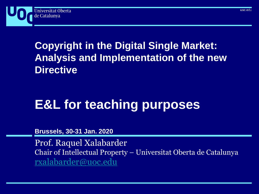

# **Copyright in the Digital Single Market: Analysis and Implementation of the new Directive**

# **E&L for teaching purposes**

**Brussels, 30-31 Jan. 2020**

Prof. Raquel Xalabarder Chair of Intellectual Property – Universitat Oberta de Catalunya [rxalabarder@uoc.edu](mailto:rxalabarder@uoc.edu)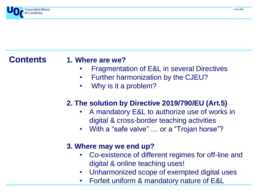

**Contents**

#### **1. Where are we?**

- Fragmentation of E&L in several Directives
- Further harmonization by the CJEU?
- Why is it a problem?

#### **2. The solution by Directive 2019/790/EU (Art.5)**

- A mandatory E&L to authorize use of works in digital & cross-border teaching activities
- With a "safe valve" ... or a "Trojan horse"?

#### **3. Where may we end up?**

- Co-existence of different regimes for off-line and digital & online teaching uses!
- Unharmonized scope of exempted digital uses
- Forfeit uniform & mandatory nature of E&L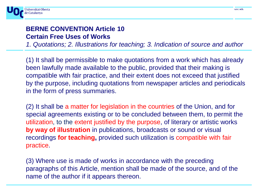

#### **BERNE CONVENTION Article 10 Certain Free Uses of Works**

*1. Quotations; 2. Illustrations for teaching; 3. Indication of source and author*

(1) It shall be permissible to make quotations from a work which has already been lawfully made available to the public, provided that their making is compatible with fair practice, and their extent does not exceed that justified by the purpose, including quotations from newspaper articles and periodicals in the form of press summaries.

(2) It shall be a matter for legislation in the countries of the Union, and for special agreements existing or to be concluded between them, to permit the utilization, to the extent justified by the purpose, of literary or artistic works **by way of illustration** in publications, broadcasts or sound or visual recordings **for teaching,** provided such utilization is compatible with fair practice.

(3) Where use is made of works in accordance with the preceding paragraphs of this Article, mention shall be made of the source, and of the name of the author if it appears thereon.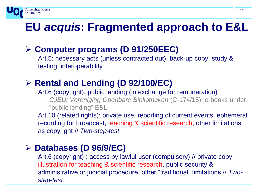# **EU** *acquis***: Fragmented approach to E&L**

### ➢ **Computer programs (D 91/250EEC)**

Art.5: necessary acts (unless contracted out), back-up copy, study & testing, interoperability

## ➢ **Rental and Lending (D 92/100/EC)**

Art.6 (copyright): public lending (in exchange for remuneration) *CJEU: Vereniging Openbare Bibliotheken* (C-174/15): e-books under "public lending" E&L

Art.10 (related rights): private use, reporting of current events, ephemeral recording for broadcast, teaching & scientific research, other limitations as copyright // *Two-step-test*

#### ➢ **Databases (D 96/9/EC)**

Universitat Oberta

de Catalunya

Art.6 (copyright) : access by lawful user (compulsory) // private copy, illustration for teaching & scientific research, public security & administrative or judicial procedure, other "traditional" limitations // *Twostep-test*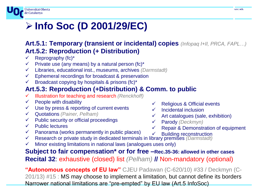#### Universitat Oberta de Catalunya

# ➢ **Info Soc (D 2001/29/EC)**

#### **Art.5.1: Temporary (transient or incidental) copies** *(Infopaq I+II, PRCA, FAPL…)* **Art.5.2: Reproduction (+ Distribution)**

- Reprography (fc)\*
- Private use (any means) by a natural person (fc) $*$
- ✓ Libraries, educational inst., museums, archives *(Darmstadt)*
- $\checkmark$  Ephemeral recordings for broadcast & preservation
- $\checkmark$  Broadcast copying by hospitals & prisons (fc)<sup>\*</sup>

#### **Art.5.3: Reproduction (+Distribution) & Comm. to public**

- ✓ Illustration for teaching and research *(Renckhoff)*
- $\checkmark$  People with disability
- $\checkmark$  Use by press & reporting of current events
- ✓ Quotations *(Painer, Pelham)*
- $\checkmark$  Public security or official proceedings
- $\checkmark$  Public lectures
- $\checkmark$  Panorama (works permanently in public places)
- ✓ Religious & Official events Incidental inclusion
- $\checkmark$  Art catalogues (sale, exhibition)
- ✓ Parody *(Deckmyn)*
	- Repair & Demonstration of equipment
- ✓ Building reconstruction
- ✓ Research or private study in dedicated terminals in library premises *(Darmstadt)*
- $\checkmark$  Minor existing limitations in national laws (analogues uses only)

**Subject to fair compensation\* or for free –Rec.35-36: allowed in other cases Recital 32**: exhaustive (closed) list *(Pelham)* **//** Non-mandatory (optional)

**"Autonomous concepts of EU law"** CJEU Padawan (C-620/10) #33 / Deckmyn (C-201/13) #15 : MS may choose to implement a limitation, but cannot define its borders Narrower national limitations are "pre-empted" by EU law (Art.5 InfoSoc)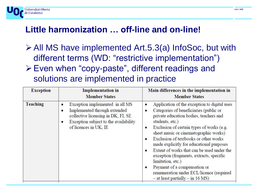#### **Little harmonization … off-line and on-line!**

Jniversitat Oberta

de Catalunya

- ➢All MS have implemented Art.5.3(a) InfoSoc, but with different terms (WD: "restrictive implementation") ➢Even when "copy-paste", different readings and
	- solutions are implemented in practice

| <b>Exception</b> | <b>Implementation</b> in<br><b>Member States</b>                                                                                                                                                  | Main differences in the implementation in<br><b>Member States</b>                                                                                                                                                                                                                                                                                                                                                                                                                                                                                                                                       |
|------------------|---------------------------------------------------------------------------------------------------------------------------------------------------------------------------------------------------|---------------------------------------------------------------------------------------------------------------------------------------------------------------------------------------------------------------------------------------------------------------------------------------------------------------------------------------------------------------------------------------------------------------------------------------------------------------------------------------------------------------------------------------------------------------------------------------------------------|
| Teaching         | Exception implemented in all MS<br>$\bullet$<br>Implemented through extended<br>collective licensing in DK, FI, SE<br>Exception subject to the availability<br>$\bullet$<br>of licences in UK, IE | Application of the exception to digital uses<br>٠<br>Categories of beneficiaries (public or<br>٠<br>private education bodies, teachers and<br>students, etc.)<br>Exclusion of certain types of works (e.g.<br>٠<br>sheet music or cinematographic works)<br>Exclusion of textbooks or other works<br>$\bullet$<br>made explicitly for educational purposes<br>Extent of works that can be used under the<br>٠<br>exception (fragments, extracts, specific<br>limitation, etc.)<br>Payment of a compensation or<br>٠<br>remuneration under ECL/licence (required<br>$-$ at least partially $-$ in 16 MS) |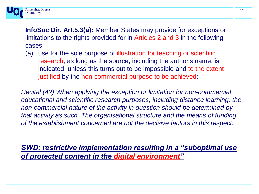

**InfoSoc Dir. Art.5.3(a):** Member States may provide for exceptions or limitations to the rights provided for in Articles 2 and 3 in the following cases:

(a) use for the sole purpose of illustration for teaching or scientific research, as long as the source, including the author's name, is indicated, unless this turns out to be impossible and to the extent justified by the non-commercial purpose to be achieved;

*Recital (42) When applying the exception or limitation for non-commercial educational and scientific research purposes, including distance learning, the non-commercial nature of the activity in question should be determined by that activity as such. The organisational structure and the means of funding of the establishment concerned are not the decisive factors in this respect.*

*SWD: restrictive implementation resulting in a "suboptimal use of protected content in the digital environment"*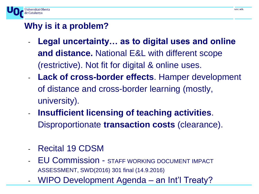

#### **Why is it a problem?**

- Legal uncertainty... as to digital uses and online **and distance.** National E&L with different scope (restrictive). Not fit for digital & online uses.
- **Lack of cross-border effects**. Hamper development of distance and cross-border learning (mostly, university).
- **Insufficient licensing of teaching activities.** Disproportionate **transaction costs** (clearance).
- Recital 19 CDSM
- EU Commission STAFF WORKING DOCUMENT IMPACT ASSESSMENT, SWD(2016) 301 final (14.9.2016)
- WIPO Development Agenda an Int'l Treaty?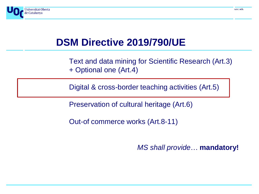

# **DSM Directive 2019/790/UE**

Text and data mining for Scientific Research (Art.3) + Optional one (Art.4)

Digital & cross-border teaching activities (Art.5)

Preservation of cultural heritage (Art.6)

Out-of commerce works (Art.8-11)

*MS shall provide*… **mandatory!**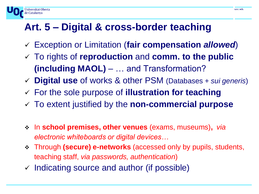# **Art. 5 – Digital & cross-border teaching**

Jniversitat Oberta

de Catalunya

- ✓ Exception or Limitation (**fair compensation** *allowed*)
- ✓ To rights of **reproduction** and **comm. to the public (including MAOL)** – … and Transformation?
- ✓ **Digital use** of works & other PSM (Databases + *sui generis*)
- ✓ For the sole purpose of **illustration for teaching**
- ✓ To extent justified by the **non-commercial purpose**
- ❖ In **school premises, other venues** (exams, museums)**,** *via electronic whiteboards or digital devices…*
- ❖ Through **(secure) e-networks** (accessed only by pupils, students, teaching staff, *via passwords, authentication*)
- $\checkmark$  Indicating source and author (if possible)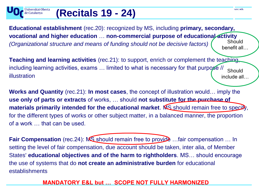# **(Recitals 19 - 24)**

Universitat Oberta

de Catalunya

**Educational establishment** (rec.20): recognized by MS, including **primary, secondary, vocational and higher education** … **non-commercial purpose of educational activity**  *(Organizational structure and means of funding should not be decisive factors)* **Should** benefit all…

**Teaching and learning activities** (rec.21): to support, enrich or complement the teaching, including learning activities, exams ... limited to what is necessary for that purpose // illustration **Should** include all…

**Works and Quantity** (rec.21): **In most cases**, the concept of illustration would… imply the **use only of parts or extracts** of works, … should **not substitute for the purchase of**  materials primarily intended for the educational market. MS should remain free to specity, for the different types of works or other subject matter, in a balanced manner, the proportion of a work … that can be used.

**Fair Compensation** (rec.24): MS should remain free to provide ... fair compensation ... In setting the level of fair compensation, due account should be taken, inter alia, of Member States' **educational objectives and of the harm to rightholders**. MS… should encourage the use of systems that do **not create an administrative burden** for educational establishments

#### **MANDATORY E&L but … SCOPE NOT FULLY HARMONIZED**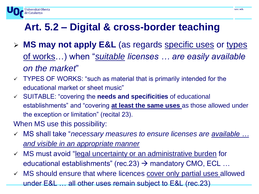

- ➢ **MS may not apply E&L** (as regards specific uses or types of works…) when "*suitable licenses … are easily available on the market*"
- ✓ TYPES OF WORKS: "such as material that is primarily intended for the educational market or sheet music"
- ✓ SUITABLE: "covering the **needs and specificities** of educational establishments" and "covering **at least the same uses** as those allowed under the exception or limitation" (recital 23).
- When MS use this possibility:

Jniversitat Oberta

de Catalunya

- ✓ MS shall take "*necessary measures to ensure licenses are available … and visible in an appropriate manner*
- ✓ MS must avoid "legal uncertainty or an administrative burden for educational establishments" (rec.23)  $\rightarrow$  mandatory CMO, ECL ...
- ✓ MS should ensure that where licences cover only partial uses allowed under E&L … all other uses remain subject to E&L (rec.23)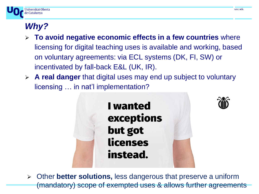

## *Why?*

- ➢ **To avoid negative economic effects in a few countries** where licensing for digital teaching uses is available and working, based on voluntary agreements: via ECL systems (DK, FI, SW) or incentivated by fall-back E&L (UK, IR).
- ➢ **A real danger** that digital uses may end up subject to voluntary licensing … in nat'l implementation?





➢ Other **better solutions,** less dangerous that preserve a uniform (mandatory) scope of exempted uses & allows further agreements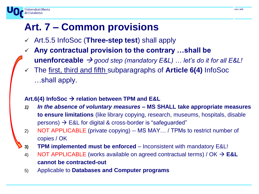# **Art. 7 – Common provisions**

Jniversitat Oberta

de Catalunya

- ✓ Art.5.5 InfoSoc (**Three-step test**) shall apply
- ✓ **Any contractual provision to the contrary …shall be** 
	- **unenforceable**  $\rightarrow$  *good step (mandatory E&L) ... let's do it for all E&L!*
- ✓ The first, third and fifth subparagraphs of **Article 6(4)** InfoSoc …shall apply.

#### **Art.6(4) InfoSoc** → **relation between TPM and E&L**

- *1) In the absence of voluntary measures* **– MS SHALL take appropriate measures to ensure limitations** (like library copying, research, museums, hospitals, disable  $persons)$   $\rightarrow$  E&L for digital & cross-border is "safeguarded"
- 2) NOT APPLICABLE (private copying) -- MS MAY… / TPMs to restrict number of copies / OK
- **3) TPM implemented must be enforced**  Inconsistent with mandatory E&L!
- 4) NOT APPLICABLE (works available on agreed contractual terms) / OK → **E&L cannot be contracted-out**
- 5) Applicable to **Databases and Computer programs**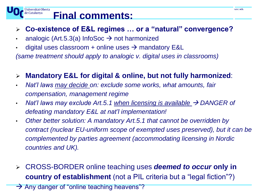# **Final comments:**

#### ➢ **Co-existence of E&L regimes … or a "natural" convergence?**

• analogic (Art.5.3(a) InfoSoc  $\rightarrow$  not harmonized

Universitat Oberta

de Catalunya

• digital uses classroom + online uses  $\rightarrow$  mandatory E&L

*(same treatment should apply to analogic v. digital uses in classrooms)*

#### ➢ **Mandatory E&L for digital & online, but not fully harmonized**:

- *Nat'l laws may decide on: exclude some works, what amounts, fair compensation, management regime*
- *Nat'l laws may exclude Art.5.1 when licensing is available* → *DANGER of defeating mandatory E&L at nat'l implementation!*
- *Other better solution: A mandatory Art.5.1 that cannot be overridden by contract (nuclear EU-uniform scope of exempted uses preserved), but it can be complemented by parties agreement (accommodating licensing in Nordic countries and UK).*
- ➢ CROSS-BORDER online teaching uses *deemed to occur* **only in country of establishment** (not a PIL criteria but a "legal fiction"?)

 $\rightarrow$  Any danger of "online teaching heavens"?